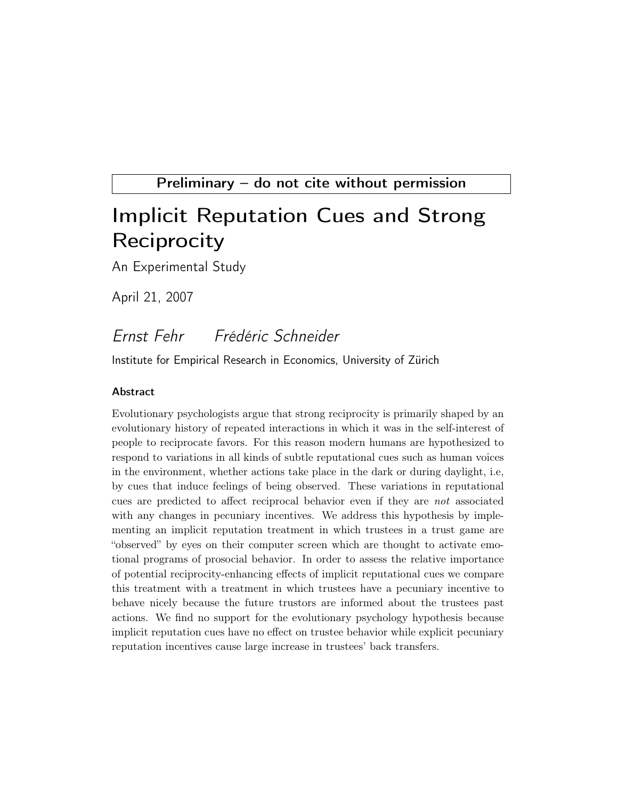Preliminary – do not cite without permission

# Implicit Reputation Cues and Strong **Reciprocity**

An Experimental Study

April 21, 2007

# Ernst Fehr Frédéric Schneider

Institute for Empirical Research in Economics, University of Zürich

#### Abstract

Evolutionary psychologists argue that strong reciprocity is primarily shaped by an evolutionary history of repeated interactions in which it was in the self-interest of people to reciprocate favors. For this reason modern humans are hypothesized to respond to variations in all kinds of subtle reputational cues such as human voices in the environment, whether actions take place in the dark or during daylight, i.e, by cues that induce feelings of being observed. These variations in reputational cues are predicted to affect reciprocal behavior even if they are not associated with any changes in pecuniary incentives. We address this hypothesis by implementing an implicit reputation treatment in which trustees in a trust game are "observed" by eyes on their computer screen which are thought to activate emotional programs of prosocial behavior. In order to assess the relative importance of potential reciprocity-enhancing effects of implicit reputational cues we compare this treatment with a treatment in which trustees have a pecuniary incentive to behave nicely because the future trustors are informed about the trustees past actions. We find no support for the evolutionary psychology hypothesis because implicit reputation cues have no effect on trustee behavior while explicit pecuniary reputation incentives cause large increase in trustees' back transfers.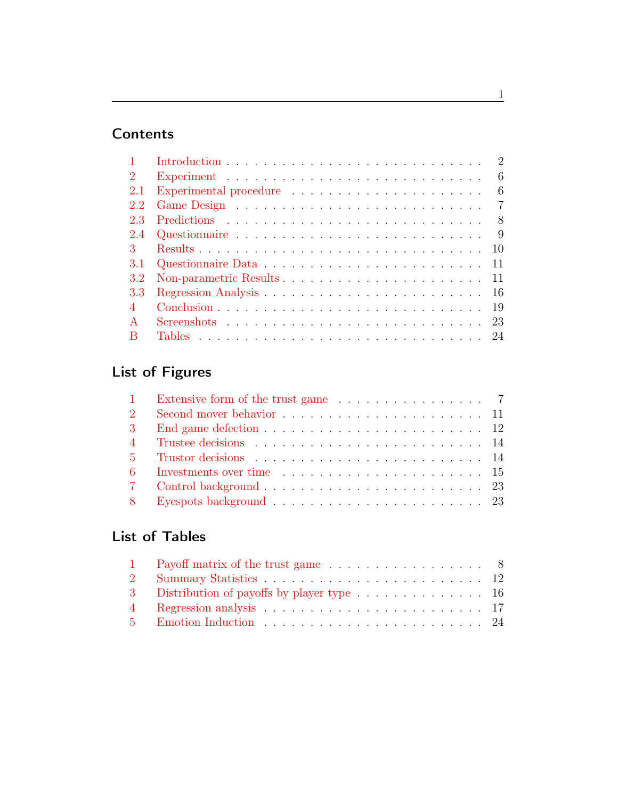## **Contents**

|     | 2                                                                                          |
|-----|--------------------------------------------------------------------------------------------|
| 2   | -6                                                                                         |
| 2.1 | 6<br>Experimental procedure                                                                |
| 2.2 | $\overline{7}$                                                                             |
| 2.3 | -8                                                                                         |
| 2.4 | 9<br>Questionnaire $\ldots \ldots \ldots \ldots \ldots \ldots \ldots \ldots \ldots \ldots$ |
|     |                                                                                            |
| 3.1 | 11                                                                                         |
| 3.2 |                                                                                            |
| 3.3 |                                                                                            |
|     | 19                                                                                         |
|     | 23                                                                                         |
|     |                                                                                            |

# List of Figures

| 1 Extensive form of the trust game 7 |  |
|--------------------------------------|--|
|                                      |  |
|                                      |  |
|                                      |  |
|                                      |  |
|                                      |  |
|                                      |  |
|                                      |  |

# List of Tables

| 1 Payoff matrix of the trust game 8 |  |
|-------------------------------------|--|
|                                     |  |
|                                     |  |
|                                     |  |
|                                     |  |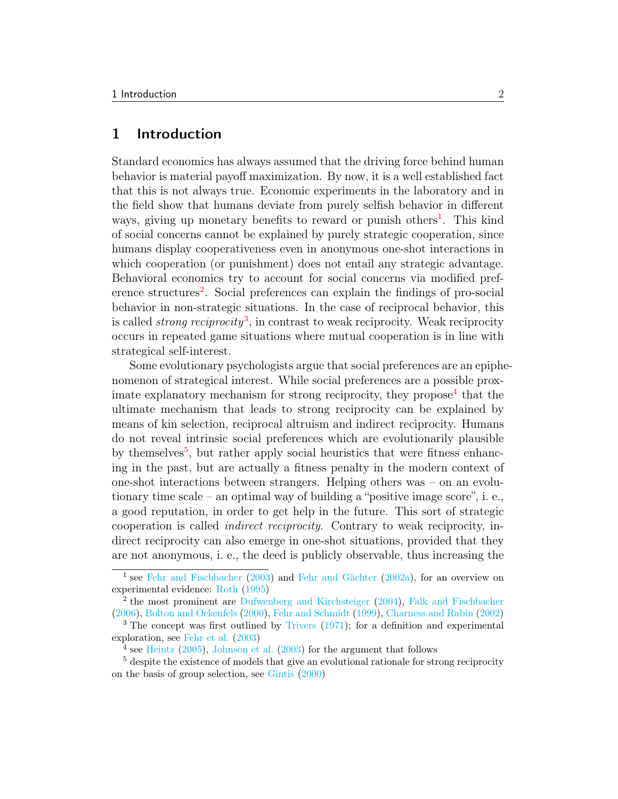### <span id="page-2-0"></span>1 Introduction

Standard economics has always assumed that the driving force behind human behavior is material payoff maximization. By now, it is a well established fact that this is not always true. Economic experiments in the laboratory and in the field show that humans deviate from purely selfish behavior in different ways, giving up monetary benefits to reward or punish others<sup>[1](#page-2-1)</sup>. This kind of social concerns cannot be explained by purely strategic cooperation, since humans display cooperativeness even in anonymous one-shot interactions in which cooperation (or punishment) does not entail any strategic advantage. Behavioral economics try to account for social concerns via modified pref-erence structures<sup>[2](#page-2-2)</sup>. Social preferences can explain the findings of pro-social behavior in non-strategic situations. In the case of reciprocal behavior, this is called *strong reciprocity*<sup>[3](#page-2-3)</sup>, in contrast to weak reciprocity. Weak reciprocity occurs in repeated game situations where mutual cooperation is in line with strategical self-interest.

Some evolutionary psychologists argue that social preferences are an epiphenomenon of strategical interest. While social preferences are a possible prox-imate explanatory mechanism for strong reciprocity, they propose<sup>[4](#page-2-4)</sup> that the ultimate mechanism that leads to strong reciprocity can be explained by means of kin selection, reciprocal altruism and indirect reciprocity. Humans do not reveal intrinsic social preferences which are evolutionarily plausible by themselves<sup>[5](#page-2-5)</sup>, but rather apply social heuristics that were fitness enhancing in the past, but are actually a fitness penalty in the modern context of one-shot interactions between strangers. Helping others was – on an evolutionary time scale – an optimal way of building a "positive image score", i. e., a good reputation, in order to get help in the future. This sort of strategic cooperation is called indirect reciprocity. Contrary to weak reciprocity, indirect reciprocity can also emerge in one-shot situations, provided that they are not anonymous, i. e., the deed is publicly observable, thus increasing the

<span id="page-2-1"></span><sup>&</sup>lt;sup>1</sup> see [Fehr and Fischbacher](#page-21-0) [\(2003\)](#page-21-0) and [Fehr and Gächter](#page-21-1) [\(2002a\)](#page-21-1), for an overview on experimental evidence: [Roth](#page-22-0) [\(1995\)](#page-22-0)

<span id="page-2-2"></span><sup>&</sup>lt;sup>2</sup> the most prominent are [Dufwenberg and Kirchsteiger](#page-20-0) [\(2004\)](#page-20-0), [Falk and Fischbacher](#page-21-2) [\(2006\)](#page-21-2), [Bolton and Ockenfels](#page-20-1) [\(2000\)](#page-20-1), [Fehr and Schmidt](#page-21-3) [\(1999\)](#page-21-3), [Charness and Rabin](#page-20-2) [\(2002\)](#page-20-2)

<span id="page-2-3"></span><sup>3</sup> The concept was first outlined by [Trivers](#page-22-1) [\(1971\)](#page-22-1); for a definition and experimental exploration, see [Fehr et al.](#page-21-4) [\(2003\)](#page-21-4)

<span id="page-2-5"></span><span id="page-2-4"></span> $4$  see [Heintz](#page-22-2) [\(2005\)](#page-22-2), [Johnson et al.](#page-22-3) [\(2003\)](#page-22-3) for the argument that follows

<sup>&</sup>lt;sup>5</sup> despite the existence of models that give an evolutional rationale for strong reciprocity on the basis of group selection, see [Gintis](#page-21-5) [\(2000\)](#page-21-5)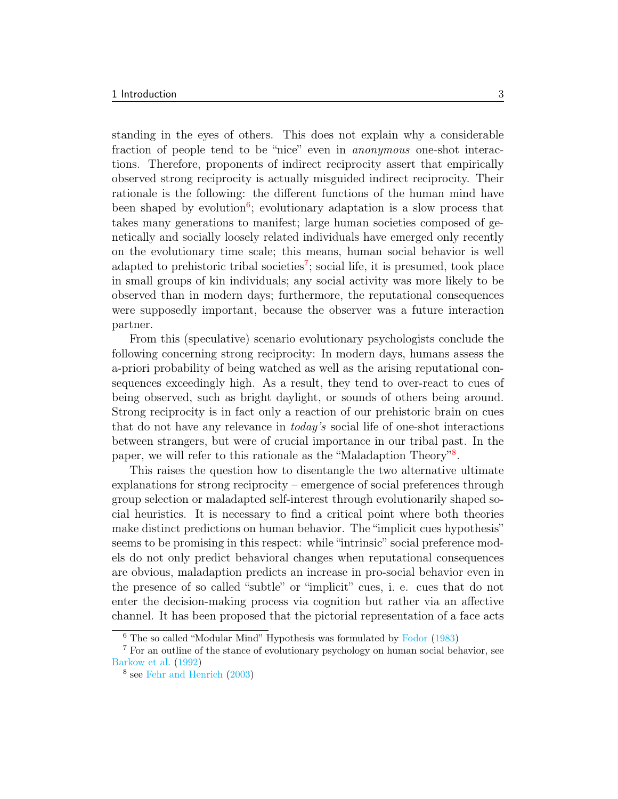standing in the eyes of others. This does not explain why a considerable fraction of people tend to be "nice" even in anonymous one-shot interactions. Therefore, proponents of indirect reciprocity assert that empirically observed strong reciprocity is actually misguided indirect reciprocity. Their rationale is the following: the different functions of the human mind have been shaped by evolution<sup>[6](#page-3-0)</sup>; evolutionary adaptation is a slow process that takes many generations to manifest; large human societies composed of genetically and socially loosely related individuals have emerged only recently on the evolutionary time scale; this means, human social behavior is well adapted to prehistoric tribal societies<sup>[7](#page-3-1)</sup>; social life, it is presumed, took place in small groups of kin individuals; any social activity was more likely to be observed than in modern days; furthermore, the reputational consequences were supposedly important, because the observer was a future interaction partner.

From this (speculative) scenario evolutionary psychologists conclude the following concerning strong reciprocity: In modern days, humans assess the a-priori probability of being watched as well as the arising reputational consequences exceedingly high. As a result, they tend to over-react to cues of being observed, such as bright daylight, or sounds of others being around. Strong reciprocity is in fact only a reaction of our prehistoric brain on cues that do not have any relevance in today's social life of one-shot interactions between strangers, but were of crucial importance in our tribal past. In the paper, we will refer to this rationale as the "Maladaption Theory"<sup>[8](#page-3-2)</sup>.

This raises the question how to disentangle the two alternative ultimate explanations for strong reciprocity – emergence of social preferences through group selection or maladapted self-interest through evolutionarily shaped social heuristics. It is necessary to find a critical point where both theories make distinct predictions on human behavior. The "implicit cues hypothesis" seems to be promising in this respect: while "intrinsic" social preference models do not only predict behavioral changes when reputational consequences are obvious, maladaption predicts an increase in pro-social behavior even in the presence of so called "subtle" or "implicit" cues, i. e. cues that do not enter the decision-making process via cognition but rather via an affective channel. It has been proposed that the pictorial representation of a face acts

<span id="page-3-1"></span><span id="page-3-0"></span><sup>6</sup> The so called "Modular Mind" Hypothesis was formulated by [Fodor](#page-21-6) [\(1983\)](#page-21-6)

<sup>7</sup> For an outline of the stance of evolutionary psychology on human social behavior, see [Barkow et al.](#page-20-3) [\(1992\)](#page-20-3)

<span id="page-3-2"></span><sup>8</sup> see [Fehr and Henrich](#page-21-7) [\(2003\)](#page-21-7)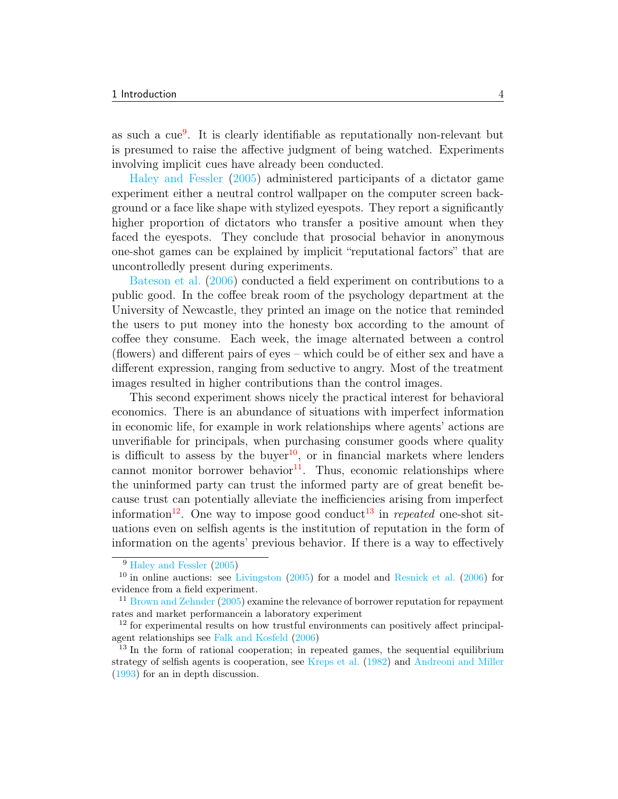as such a cue[9](#page-4-0) . It is clearly identifiable as reputationally non-relevant but is presumed to raise the affective judgment of being watched. Experiments involving implicit cues have already been conducted.

[Haley and Fessler](#page-21-8) [\(2005\)](#page-21-8) administered participants of a dictator game experiment either a neutral control wallpaper on the computer screen background or a face like shape with stylized eyespots. They report a significantly higher proportion of dictators who transfer a positive amount when they faced the eyespots. They conclude that prosocial behavior in anonymous one-shot games can be explained by implicit "reputational factors" that are uncontrolledly present during experiments.

[Bateson et al.](#page-20-4) [\(2006\)](#page-20-4) conducted a field experiment on contributions to a public good. In the coffee break room of the psychology department at the University of Newcastle, they printed an image on the notice that reminded the users to put money into the honesty box according to the amount of coffee they consume. Each week, the image alternated between a control (flowers) and different pairs of eyes – which could be of either sex and have a different expression, ranging from seductive to angry. Most of the treatment images resulted in higher contributions than the control images.

This second experiment shows nicely the practical interest for behavioral economics. There is an abundance of situations with imperfect information in economic life, for example in work relationships where agents' actions are unverifiable for principals, when purchasing consumer goods where quality is difficult to assess by the buyer<sup>[10](#page-4-1)</sup>, or in financial markets where lenders cannot monitor borrower behavior $^{11}$  $^{11}$  $^{11}$ . Thus, economic relationships where the uninformed party can trust the informed party are of great benefit because trust can potentially alleviate the inefficiencies arising from imperfect information<sup>[12](#page-4-3)</sup>. One way to impose good conduct<sup>[13](#page-4-4)</sup> in *repeated* one-shot situations even on selfish agents is the institution of reputation in the form of information on the agents' previous behavior. If there is a way to effectively

<span id="page-4-1"></span><span id="page-4-0"></span><sup>9</sup> [Haley and Fessler](#page-21-8) [\(2005\)](#page-21-8)

 $10$  in online auctions: see [Livingston](#page-22-4)  $(2005)$  for a model and [Resnick et al.](#page-22-5)  $(2006)$  for evidence from a field experiment.

<span id="page-4-2"></span> $11$  [Brown and Zehnder](#page-20-5) [\(2005\)](#page-20-5) examine the relevance of borrower reputation for repayment rates and market performancein a laboratory experiment

<span id="page-4-3"></span> $12$  for experimental results on how trustful environments can positively affect principalagent relationships see [Falk and Kosfeld](#page-21-9) [\(2006\)](#page-21-9)

<span id="page-4-4"></span> $13$  In the form of rational cooperation; in repeated games, the sequential equilibrium strategy of selfish agents is cooperation, see [Kreps et al.](#page-22-6) [\(1982\)](#page-22-6) and [Andreoni and Miller](#page-20-6) [\(1993\)](#page-20-6) for an in depth discussion.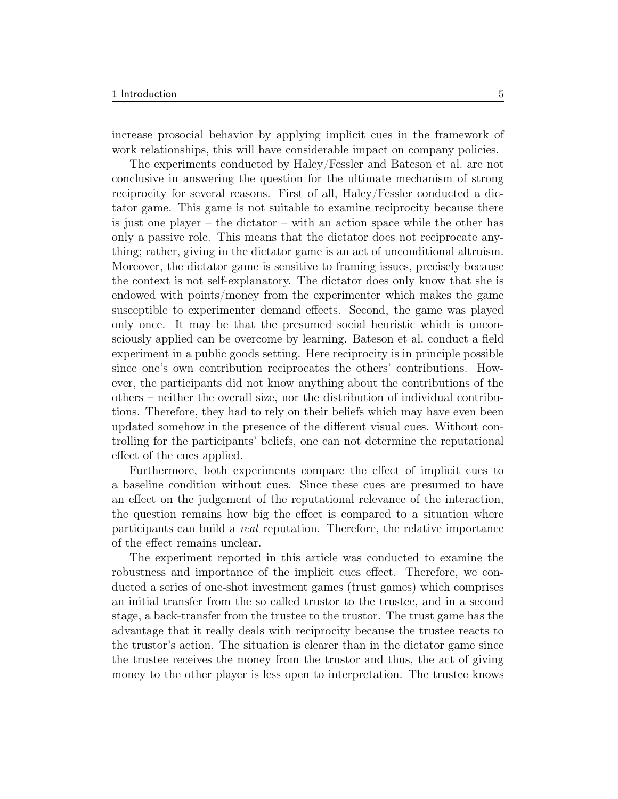increase prosocial behavior by applying implicit cues in the framework of work relationships, this will have considerable impact on company policies.

The experiments conducted by Haley/Fessler and Bateson et al. are not conclusive in answering the question for the ultimate mechanism of strong reciprocity for several reasons. First of all, Haley/Fessler conducted a dictator game. This game is not suitable to examine reciprocity because there is just one player – the dictator – with an action space while the other has only a passive role. This means that the dictator does not reciprocate anything; rather, giving in the dictator game is an act of unconditional altruism. Moreover, the dictator game is sensitive to framing issues, precisely because the context is not self-explanatory. The dictator does only know that she is endowed with points/money from the experimenter which makes the game susceptible to experimenter demand effects. Second, the game was played only once. It may be that the presumed social heuristic which is unconsciously applied can be overcome by learning. Bateson et al. conduct a field experiment in a public goods setting. Here reciprocity is in principle possible since one's own contribution reciprocates the others' contributions. However, the participants did not know anything about the contributions of the others – neither the overall size, nor the distribution of individual contributions. Therefore, they had to rely on their beliefs which may have even been updated somehow in the presence of the different visual cues. Without controlling for the participants' beliefs, one can not determine the reputational effect of the cues applied.

Furthermore, both experiments compare the effect of implicit cues to a baseline condition without cues. Since these cues are presumed to have an effect on the judgement of the reputational relevance of the interaction, the question remains how big the effect is compared to a situation where participants can build a real reputation. Therefore, the relative importance of the effect remains unclear.

The experiment reported in this article was conducted to examine the robustness and importance of the implicit cues effect. Therefore, we conducted a series of one-shot investment games (trust games) which comprises an initial transfer from the so called trustor to the trustee, and in a second stage, a back-transfer from the trustee to the trustor. The trust game has the advantage that it really deals with reciprocity because the trustee reacts to the trustor's action. The situation is clearer than in the dictator game since the trustee receives the money from the trustor and thus, the act of giving money to the other player is less open to interpretation. The trustee knows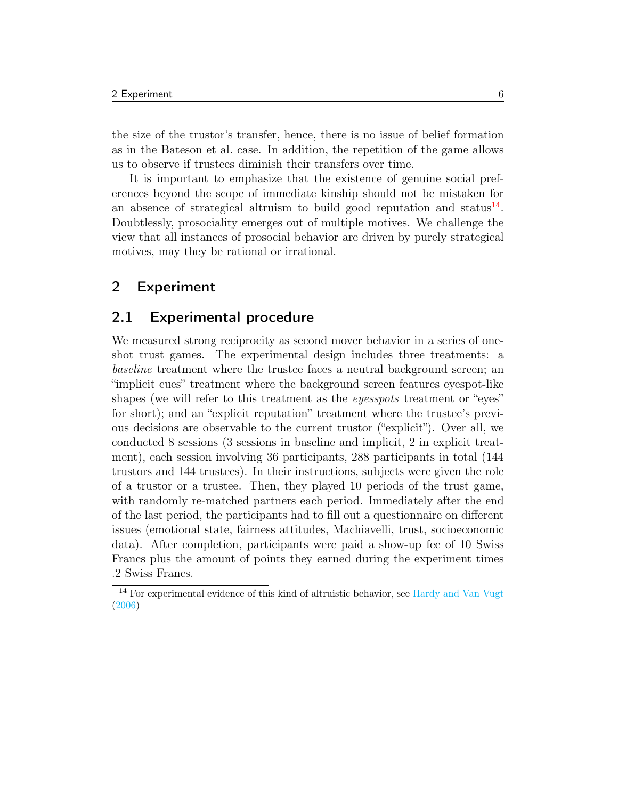the size of the trustor's transfer, hence, there is no issue of belief formation as in the Bateson et al. case. In addition, the repetition of the game allows us to observe if trustees diminish their transfers over time.

It is important to emphasize that the existence of genuine social preferences beyond the scope of immediate kinship should not be mistaken for an absence of strategical altruism to build good reputation and status $^{14}$  $^{14}$  $^{14}$ . Doubtlessly, prosociality emerges out of multiple motives. We challenge the view that all instances of prosocial behavior are driven by purely strategical motives, may they be rational or irrational.

#### <span id="page-6-0"></span>2 Experiment

#### <span id="page-6-1"></span>2.1 Experimental procedure

We measured strong reciprocity as second mover behavior in a series of oneshot trust games. The experimental design includes three treatments: a baseline treatment where the trustee faces a neutral background screen; an "implicit cues" treatment where the background screen features eyespot-like shapes (we will refer to this treatment as the eyesspots treatment or "eyes" for short); and an "explicit reputation" treatment where the trustee's previous decisions are observable to the current trustor ("explicit"). Over all, we conducted 8 sessions (3 sessions in baseline and implicit, 2 in explicit treatment), each session involving 36 participants, 288 participants in total (144 trustors and 144 trustees). In their instructions, subjects were given the role of a trustor or a trustee. Then, they played 10 periods of the trust game, with randomly re-matched partners each period. Immediately after the end of the last period, the participants had to fill out a questionnaire on different issues (emotional state, fairness attitudes, Machiavelli, trust, socioeconomic data). After completion, participants were paid a show-up fee of 10 Swiss Francs plus the amount of points they earned during the experiment times .2 Swiss Francs.

<span id="page-6-2"></span><sup>14</sup> For experimental evidence of this kind of altruistic behavior, see [Hardy and Van Vugt](#page-21-10) [\(2006\)](#page-21-10)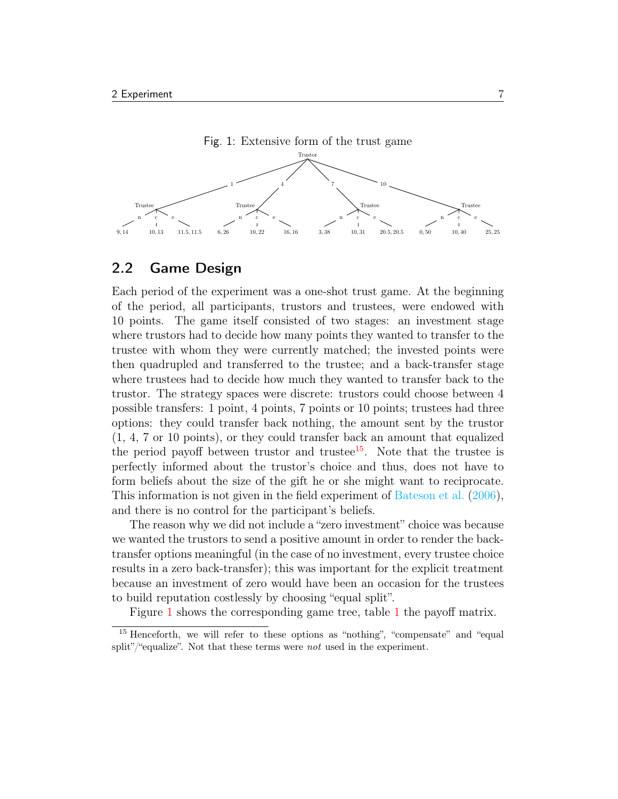<span id="page-7-1"></span>

### <span id="page-7-0"></span>2.2 Game Design

Each period of the experiment was a one-shot trust game. At the beginning of the period, all participants, trustors and trustees, were endowed with 10 points. The game itself consisted of two stages: an investment stage where trustors had to decide how many points they wanted to transfer to the trustee with whom they were currently matched; the invested points were then quadrupled and transferred to the trustee; and a back-transfer stage where trustees had to decide how much they wanted to transfer back to the trustor. The strategy spaces were discrete: trustors could choose between 4 possible transfers: 1 point, 4 points, 7 points or 10 points; trustees had three options: they could transfer back nothing, the amount sent by the trustor (1, 4, 7 or 10 points), or they could transfer back an amount that equalized the period payoff between trustor and trustee<sup>[15](#page-7-2)</sup>. Note that the trustee is perfectly informed about the trustor's choice and thus, does not have to form beliefs about the size of the gift he or she might want to reciprocate. This information is not given in the field experiment of [Bateson et al.](#page-20-4) [\(2006\)](#page-20-4), and there is no control for the participant's beliefs.

The reason why we did not include a "zero investment" choice was because we wanted the trustors to send a positive amount in order to render the backtransfer options meaningful (in the case of no investment, every trustee choice results in a zero back-transfer); this was important for the explicit treatment because an investment of zero would have been an occasion for the trustees to build reputation costlessly by choosing "equal split".

<span id="page-7-2"></span>Figure [1](#page-7-1) shows the corresponding game tree, table [1](#page-8-1) the payoff matrix.

<sup>15</sup> Henceforth, we will refer to these options as "nothing", "compensate" and "equal split"/"equalize". Not that these terms were *not* used in the experiment.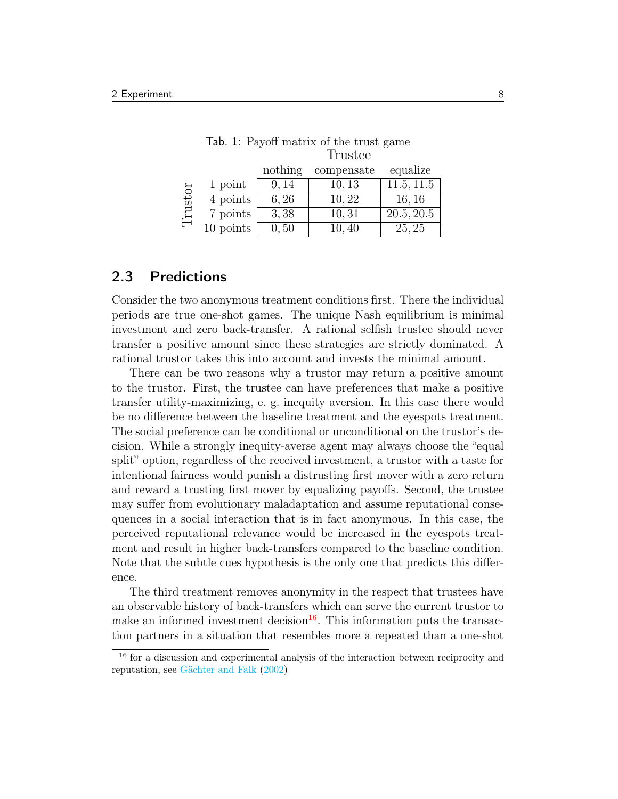|         |           | nothing | compensate | equalize   |
|---------|-----------|---------|------------|------------|
|         | 1 point   | 9.14    | 10, 13     | 11.5, 11.5 |
| Trustor | 4 points  | 6,26    | 10,22      | 16, 16     |
|         | 7 points  | 3,38    | 10,31      | 20.5, 20.5 |
|         | 10 points | 0, 50   | 10,40      | 25, 25     |

<span id="page-8-1"></span>

|  | Tab. 1: Payoff matrix of the trust game |  |         |  |
|--|-----------------------------------------|--|---------|--|
|  |                                         |  | Trustee |  |

#### <span id="page-8-0"></span>2.3 Predictions

Consider the two anonymous treatment conditions first. There the individual periods are true one-shot games. The unique Nash equilibrium is minimal investment and zero back-transfer. A rational selfish trustee should never transfer a positive amount since these strategies are strictly dominated. A rational trustor takes this into account and invests the minimal amount.

There can be two reasons why a trustor may return a positive amount to the trustor. First, the trustee can have preferences that make a positive transfer utility-maximizing, e. g. inequity aversion. In this case there would be no difference between the baseline treatment and the eyespots treatment. The social preference can be conditional or unconditional on the trustor's decision. While a strongly inequity-averse agent may always choose the "equal split" option, regardless of the received investment, a trustor with a taste for intentional fairness would punish a distrusting first mover with a zero return and reward a trusting first mover by equalizing payoffs. Second, the trustee may suffer from evolutionary maladaptation and assume reputational consequences in a social interaction that is in fact anonymous. In this case, the perceived reputational relevance would be increased in the eyespots treatment and result in higher back-transfers compared to the baseline condition. Note that the subtle cues hypothesis is the only one that predicts this difference.

The third treatment removes anonymity in the respect that trustees have an observable history of back-transfers which can serve the current trustor to make an informed investment decision<sup>[16](#page-8-2)</sup>. This information puts the transaction partners in a situation that resembles more a repeated than a one-shot

<span id="page-8-2"></span><sup>16</sup> for a discussion and experimental analysis of the interaction between reciprocity and reputation, see [Gächter and Falk](#page-21-11) [\(2002\)](#page-21-11)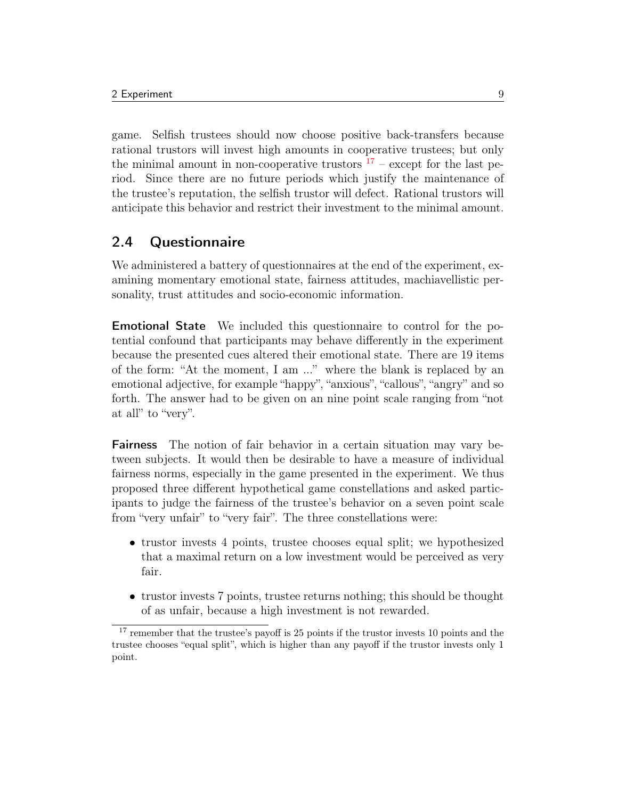game. Selfish trustees should now choose positive back-transfers because rational trustors will invest high amounts in cooperative trustees; but only the minimal amount in non-cooperative trustors  $17$  – except for the last period. Since there are no future periods which justify the maintenance of the trustee's reputation, the selfish trustor will defect. Rational trustors will anticipate this behavior and restrict their investment to the minimal amount.

## <span id="page-9-0"></span>2.4 Questionnaire

We administered a battery of questionnaires at the end of the experiment, examining momentary emotional state, fairness attitudes, machiavellistic personality, trust attitudes and socio-economic information.

Emotional State We included this questionnaire to control for the potential confound that participants may behave differently in the experiment because the presented cues altered their emotional state. There are 19 items of the form: "At the moment, I am ..." where the blank is replaced by an emotional adjective, for example "happy", "anxious", "callous", "angry" and so forth. The answer had to be given on an nine point scale ranging from "not at all" to "very".

Fairness The notion of fair behavior in a certain situation may vary between subjects. It would then be desirable to have a measure of individual fairness norms, especially in the game presented in the experiment. We thus proposed three different hypothetical game constellations and asked participants to judge the fairness of the trustee's behavior on a seven point scale from "very unfair" to "very fair". The three constellations were:

- trustor invests 4 points, trustee chooses equal split; we hypothesized that a maximal return on a low investment would be perceived as very fair.
- trustor invests 7 points, trustee returns nothing; this should be thought of as unfair, because a high investment is not rewarded.

<span id="page-9-1"></span><sup>&</sup>lt;sup>17</sup> remember that the trustee's payoff is 25 points if the trustor invests 10 points and the trustee chooses "equal split", which is higher than any payoff if the trustor invests only 1 point.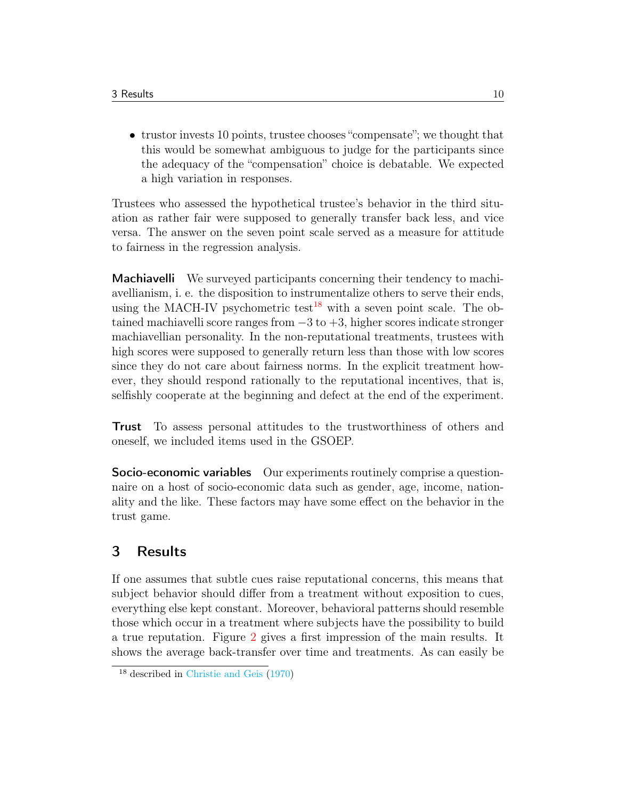• trustor invests 10 points, trustee chooses "compensate"; we thought that this would be somewhat ambiguous to judge for the participants since the adequacy of the "compensation" choice is debatable. We expected a high variation in responses.

Trustees who assessed the hypothetical trustee's behavior in the third situation as rather fair were supposed to generally transfer back less, and vice versa. The answer on the seven point scale served as a measure for attitude to fairness in the regression analysis.

Machiavelli We surveyed participants concerning their tendency to machiavellianism, i. e. the disposition to instrumentalize others to serve their ends, using the MACH-IV psychometric test<sup>[18](#page-10-1)</sup> with a seven point scale. The obtained machiavelli score ranges from  $-3$  to  $+3$ , higher scores indicate stronger machiavellian personality. In the non-reputational treatments, trustees with high scores were supposed to generally return less than those with low scores since they do not care about fairness norms. In the explicit treatment however, they should respond rationally to the reputational incentives, that is, selfishly cooperate at the beginning and defect at the end of the experiment.

Trust To assess personal attitudes to the trustworthiness of others and oneself, we included items used in the GSOEP.

Socio-economic variables Our experiments routinely comprise a questionnaire on a host of socio-economic data such as gender, age, income, nationality and the like. These factors may have some effect on the behavior in the trust game.

## <span id="page-10-0"></span>3 Results

If one assumes that subtle cues raise reputational concerns, this means that subject behavior should differ from a treatment without exposition to cues, everything else kept constant. Moreover, behavioral patterns should resemble those which occur in a treatment where subjects have the possibility to build a true reputation. Figure [2](#page-11-2) gives a first impression of the main results. It shows the average back-transfer over time and treatments. As can easily be

<span id="page-10-1"></span><sup>18</sup> described in [Christie and Geis](#page-20-7) [\(1970\)](#page-20-7)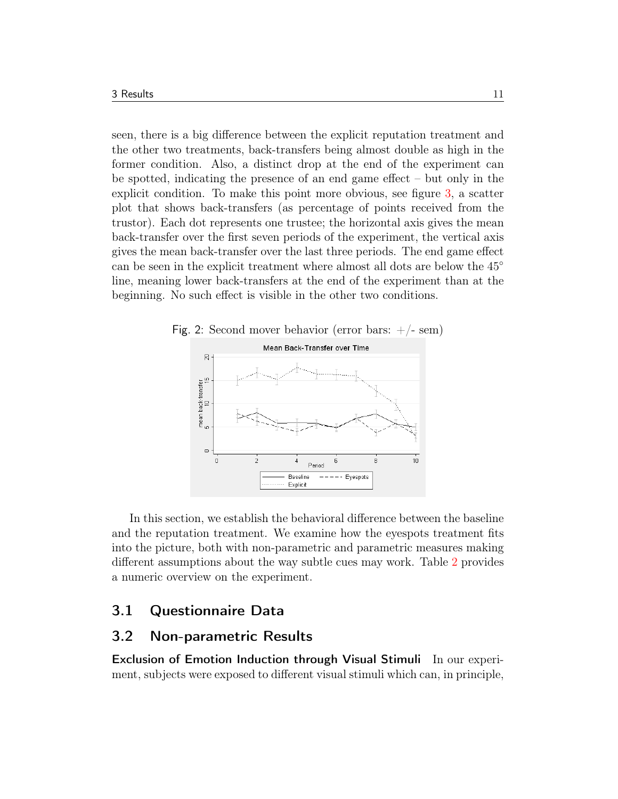seen, there is a big difference between the explicit reputation treatment and the other two treatments, back-transfers being almost double as high in the former condition. Also, a distinct drop at the end of the experiment can be spotted, indicating the presence of an end game effect – but only in the explicit condition. To make this point more obvious, see figure [3,](#page-12-0) a scatter plot that shows back-transfers (as percentage of points received from the trustor). Each dot represents one trustee; the horizontal axis gives the mean back-transfer over the first seven periods of the experiment, the vertical axis gives the mean back-transfer over the last three periods. The end game effect can be seen in the explicit treatment where almost all dots are below the 45◦ line, meaning lower back-transfers at the end of the experiment than at the beginning. No such effect is visible in the other two conditions.

<span id="page-11-2"></span>

In this section, we establish the behavioral difference between the baseline and the reputation treatment. We examine how the eyespots treatment fits into the picture, both with non-parametric and parametric measures making different assumptions about the way subtle cues may work. Table [2](#page-12-1) provides a numeric overview on the experiment.

## <span id="page-11-0"></span>3.1 Questionnaire Data

#### <span id="page-11-1"></span>3.2 Non-parametric Results

Exclusion of Emotion Induction through Visual Stimuli In our experiment, subjects were exposed to different visual stimuli which can, in principle,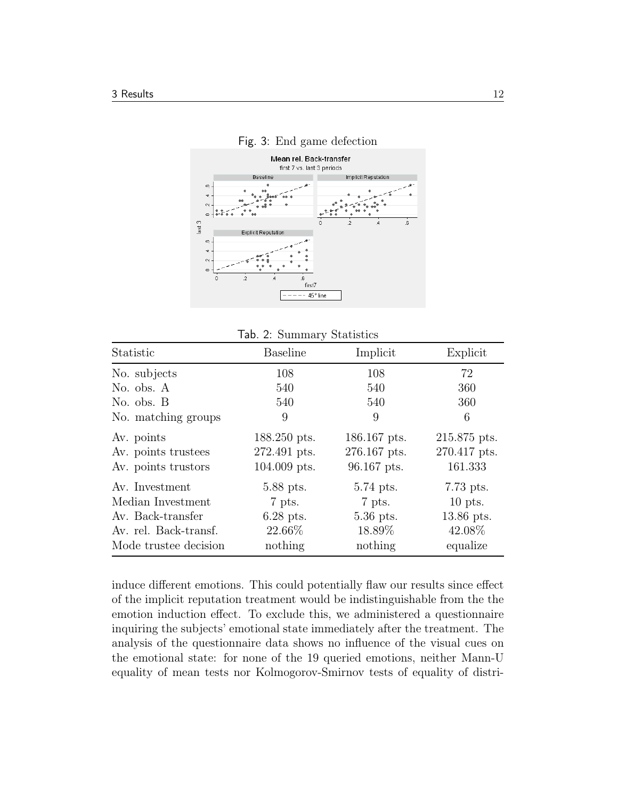#### <span id="page-12-0"></span>Fig. 3: End game defection



<span id="page-12-1"></span>

|  | Tab. 2: Summary Statistics |  |
|--|----------------------------|--|
|--|----------------------------|--|

| Statistic                                                                                                  | <b>Baseline</b>                                         | Implicit                                                | Explicit                                                   |
|------------------------------------------------------------------------------------------------------------|---------------------------------------------------------|---------------------------------------------------------|------------------------------------------------------------|
| No. subjects                                                                                               | 108                                                     | 108                                                     | 72                                                         |
| No. obs. A                                                                                                 | 540                                                     | 540                                                     | 360                                                        |
| No. obs. B                                                                                                 | 540                                                     | 540                                                     | 360                                                        |
| No. matching groups                                                                                        | 9                                                       | 9                                                       | 6                                                          |
| Av. points<br>Av. points trustees<br>Av. points trustors                                                   | 188.250 pts.<br>272.491 pts.<br>104.009 pts.            | 186.167 pts.<br>276.167 pts.<br>96.167 pts.             | 215.875 pts.<br>270.417 pts.<br>161.333                    |
| Av. Investment<br>Median Investment<br>Av. Back-transfer<br>Av. rel. Back-transf.<br>Mode trustee decision | 5.88 pts.<br>7 pts.<br>$6.28$ pts.<br>22.66%<br>nothing | 5.74 pts.<br>7 pts.<br>$5.36$ pts.<br>18.89%<br>nothing | 7.73 pts.<br>$10$ pts.<br>13.86 pts.<br>42.08%<br>equalize |

induce different emotions. This could potentially flaw our results since effect of the implicit reputation treatment would be indistinguishable from the the emotion induction effect. To exclude this, we administered a questionnaire inquiring the subjects' emotional state immediately after the treatment. The analysis of the questionnaire data shows no influence of the visual cues on the emotional state: for none of the 19 queried emotions, neither Mann-U equality of mean tests nor Kolmogorov-Smirnov tests of equality of distri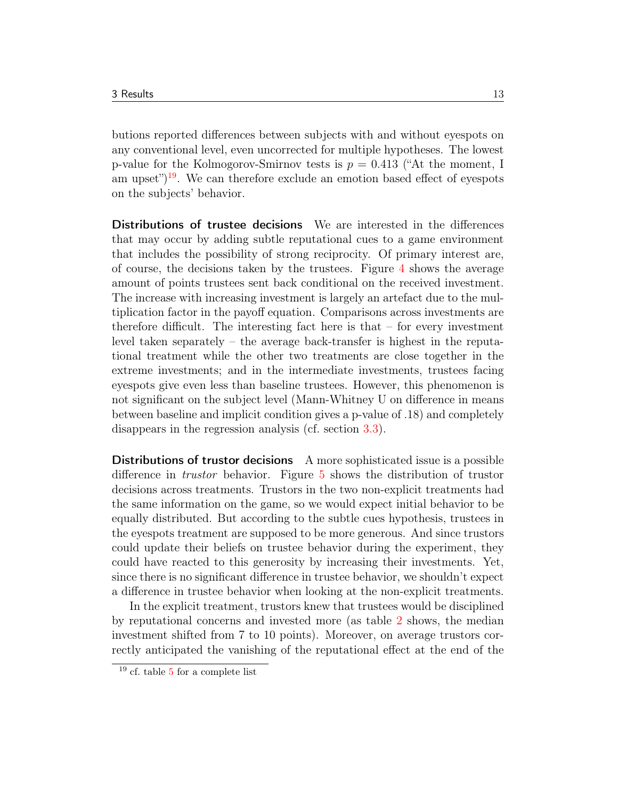butions reported differences between subjects with and without eyespots on any conventional level, even uncorrected for multiple hypotheses. The lowest p-value for the Kolmogorov-Smirnov tests is  $p = 0.413$  ("At the moment, I am upset")<sup>[19](#page-13-0)</sup>. We can therefore exclude an emotion based effect of eyespots on the subjects' behavior.

Distributions of trustee decisions We are interested in the differences that may occur by adding subtle reputational cues to a game environment that includes the possibility of strong reciprocity. Of primary interest are, of course, the decisions taken by the trustees. Figure [4](#page-14-0) shows the average amount of points trustees sent back conditional on the received investment. The increase with increasing investment is largely an artefact due to the multiplication factor in the payoff equation. Comparisons across investments are therefore difficult. The interesting fact here is that – for every investment level taken separately – the average back-transfer is highest in the reputational treatment while the other two treatments are close together in the extreme investments; and in the intermediate investments, trustees facing eyespots give even less than baseline trustees. However, this phenomenon is not significant on the subject level (Mann-Whitney U on difference in means between baseline and implicit condition gives a p-value of .18) and completely disappears in the regression analysis (cf. section [3.3\)](#page-16-0).

Distributions of trustor decisions A more sophisticated issue is a possible difference in trustor behavior. Figure [5](#page-14-1) shows the distribution of trustor decisions across treatments. Trustors in the two non-explicit treatments had the same information on the game, so we would expect initial behavior to be equally distributed. But according to the subtle cues hypothesis, trustees in the eyespots treatment are supposed to be more generous. And since trustors could update their beliefs on trustee behavior during the experiment, they could have reacted to this generosity by increasing their investments. Yet, since there is no significant difference in trustee behavior, we shouldn't expect a difference in trustee behavior when looking at the non-explicit treatments.

In the explicit treatment, trustors knew that trustees would be disciplined by reputational concerns and invested more (as table [2](#page-12-1) shows, the median investment shifted from 7 to 10 points). Moreover, on average trustors correctly anticipated the vanishing of the reputational effect at the end of the

<span id="page-13-0"></span><sup>19</sup> cf. table [5](#page-24-1) for a complete list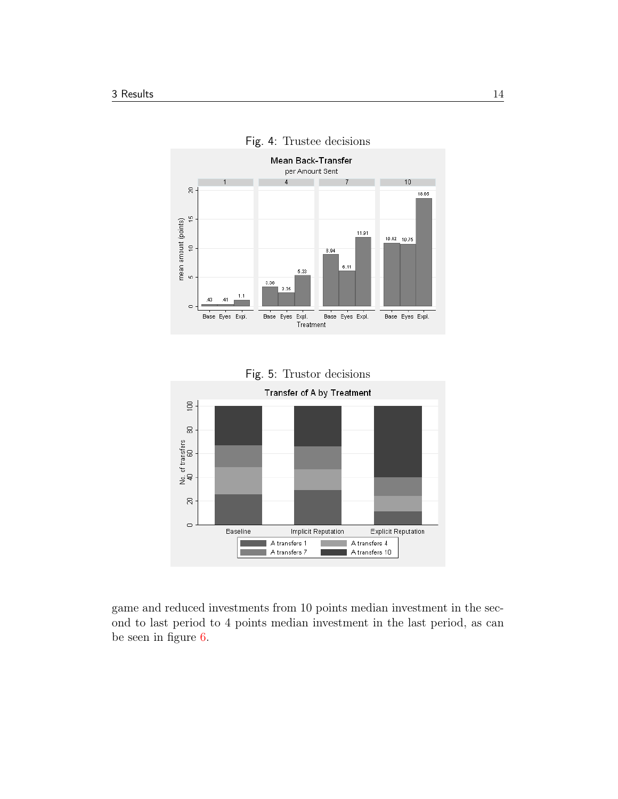

<span id="page-14-0"></span>

<span id="page-14-1"></span>



game and reduced investments from 10 points median investment in the second to last period to 4 points median investment in the last period, as can be seen in figure [6.](#page-15-0)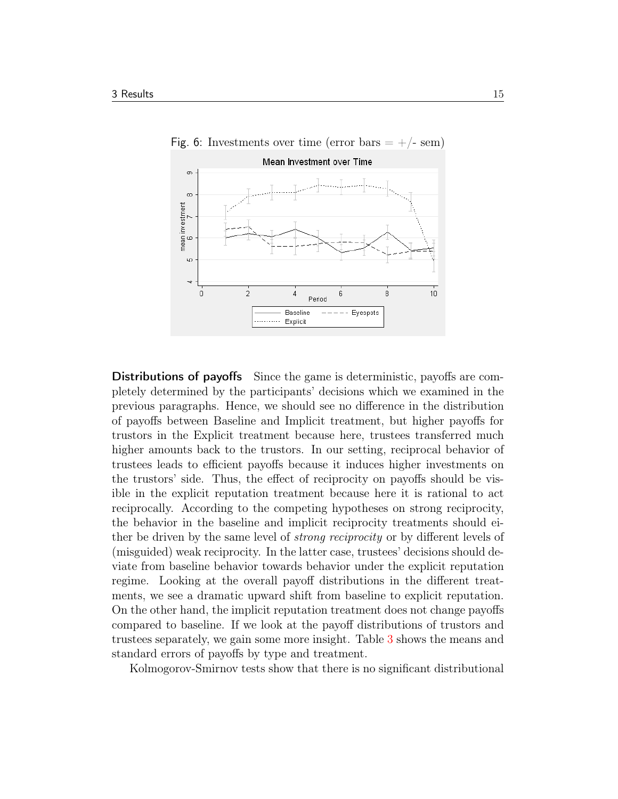<span id="page-15-0"></span>

Distributions of payoffs Since the game is deterministic, payoffs are completely determined by the participants' decisions which we examined in the previous paragraphs. Hence, we should see no difference in the distribution of payoffs between Baseline and Implicit treatment, but higher payoffs for trustors in the Explicit treatment because here, trustees transferred much higher amounts back to the trustors. In our setting, reciprocal behavior of trustees leads to efficient payoffs because it induces higher investments on the trustors' side. Thus, the effect of reciprocity on payoffs should be visible in the explicit reputation treatment because here it is rational to act reciprocally. According to the competing hypotheses on strong reciprocity, the behavior in the baseline and implicit reciprocity treatments should either be driven by the same level of *strong reciprocity* or by different levels of (misguided) weak reciprocity. In the latter case, trustees' decisions should deviate from baseline behavior towards behavior under the explicit reputation regime. Looking at the overall payoff distributions in the different treatments, we see a dramatic upward shift from baseline to explicit reputation. On the other hand, the implicit reputation treatment does not change payoffs compared to baseline. If we look at the payoff distributions of trustors and trustees separately, we gain some more insight. Table [3](#page-16-1) shows the means and standard errors of payoffs by type and treatment.

Kolmogorov-Smirnov tests show that there is no significant distributional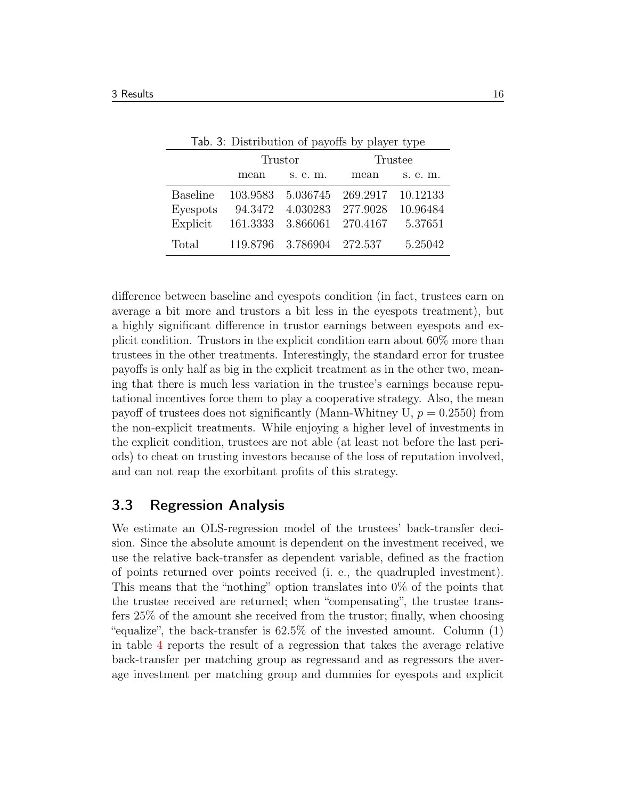|                 | rap. 3. Distribution of payons by player type |                   |          |          |
|-----------------|-----------------------------------------------|-------------------|----------|----------|
|                 | Trustor                                       |                   | Trustee  |          |
|                 | mean                                          | s. e. m.          | mean     | s. e. m. |
| <b>Baseline</b> | 103.9583                                      | 5.036745          | 269.2917 | 10.12133 |
| Eyespots        | 94.3472                                       | 4.030283          | 277.9028 | 10.96484 |
| Explicit        | 161.3333                                      | 3.866061          | 270.4167 | 5.37651  |
| Total           |                                               | 119.8796 3.786904 | 272.537  | 5.25042  |

<span id="page-16-1"></span>Tab. 3: Distribution of payoffs by player type

difference between baseline and eyespots condition (in fact, trustees earn on average a bit more and trustors a bit less in the eyespots treatment), but a highly significant difference in trustor earnings between eyespots and explicit condition. Trustors in the explicit condition earn about 60% more than trustees in the other treatments. Interestingly, the standard error for trustee payoffs is only half as big in the explicit treatment as in the other two, meaning that there is much less variation in the trustee's earnings because reputational incentives force them to play a cooperative strategy. Also, the mean payoff of trustees does not significantly (Mann-Whitney U,  $p = 0.2550$ ) from the non-explicit treatments. While enjoying a higher level of investments in the explicit condition, trustees are not able (at least not before the last periods) to cheat on trusting investors because of the loss of reputation involved, and can not reap the exorbitant profits of this strategy.

#### <span id="page-16-0"></span>3.3 Regression Analysis

We estimate an OLS-regression model of the trustees' back-transfer decision. Since the absolute amount is dependent on the investment received, we use the relative back-transfer as dependent variable, defined as the fraction of points returned over points received (i. e., the quadrupled investment). This means that the "nothing" option translates into 0% of the points that the trustee received are returned; when "compensating", the trustee transfers 25% of the amount she received from the trustor; finally, when choosing "equalize", the back-transfer is 62.5% of the invested amount. Column (1) in table [4](#page-17-0) reports the result of a regression that takes the average relative back-transfer per matching group as regressand and as regressors the average investment per matching group and dummies for eyespots and explicit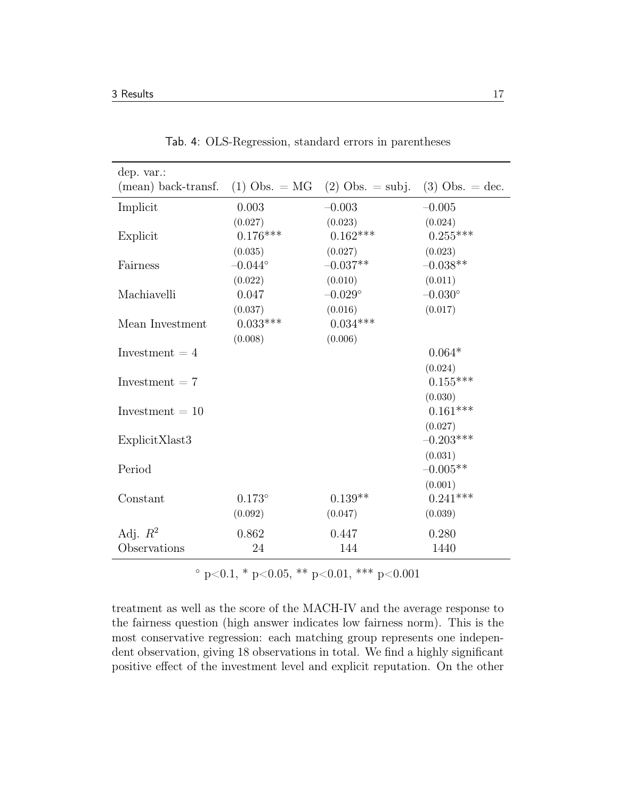| dep. var.:          |                  |                                |                   |
|---------------------|------------------|--------------------------------|-------------------|
| (mean) back-transf. |                  | (1) Obs. = MG (2) Obs. = subj. | $(3)$ Obs. = dec. |
| Implicit            | 0.003            | $-0.003$                       | $-0.005$          |
|                     | (0.027)          | (0.023)                        | (0.024)           |
| Explicit            | $0.176***$       | $0.162***$                     | $0.255***$        |
|                     | (0.035)          | (0.027)                        | (0.023)           |
| Fairness            | $-0.044^{\circ}$ | $-0.037**$                     | $-0.038**$        |
|                     | (0.022)          | (0.010)                        | (0.011)           |
| Machiavelli         | 0.047            | $-0.029^{\circ}$               | $-0.030^{\circ}$  |
|                     | (0.037)          | (0.016)                        | (0.017)           |
| Mean Investment     | $0.033***$       | $0.034***$                     |                   |
|                     | (0.008)          | (0.006)                        |                   |
| Investment $=4$     |                  |                                | $0.064*$          |
|                     |                  |                                | (0.024)           |
| Investment $= 7$    |                  |                                | $0.155***$        |
|                     |                  |                                | (0.030)           |
| Investment $=10$    |                  |                                | $0.161***$        |
|                     |                  |                                | (0.027)           |
| ExplicitXlast3      |                  |                                | $-0.203***$       |
|                     |                  |                                | (0.031)           |
| Period              |                  |                                | $-0.005**$        |
|                     |                  |                                | (0.001)           |
| Constant            | $0.173^{\circ}$  | $0.139**$                      | $0.241***$        |
|                     | (0.092)          | (0.047)                        | (0.039)           |
| Adj. $R^2$          | 0.862            | 0.447                          | 0.280             |
| Observations        | 24               | 144                            | 1440              |

<span id="page-17-0"></span>Tab. 4: OLS-Regression, standard errors in parentheses

 $\degree$  p<0.1, \* p<0.05, \*\* p<0.01, \*\*\* p<0.001

treatment as well as the score of the MACH-IV and the average response to the fairness question (high answer indicates low fairness norm). This is the most conservative regression: each matching group represents one independent observation, giving 18 observations in total. We find a highly significant positive effect of the investment level and explicit reputation. On the other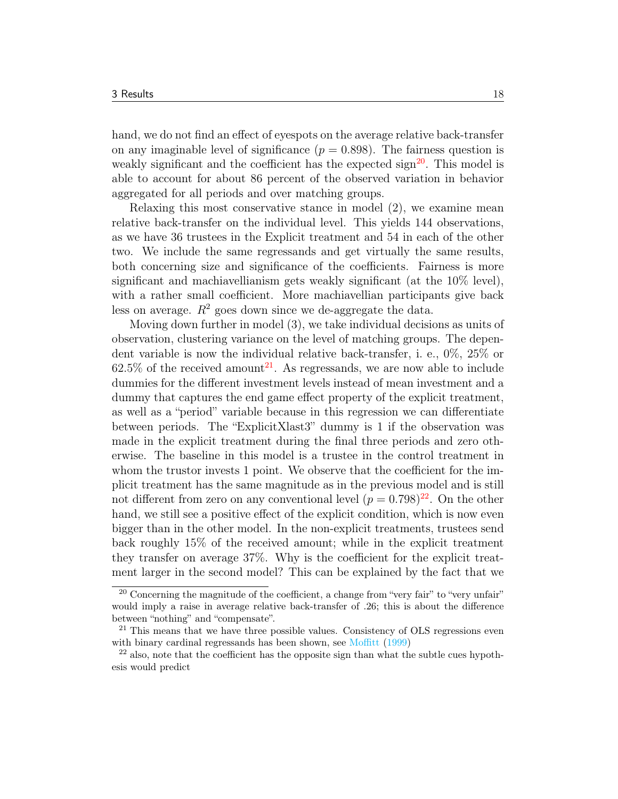hand, we do not find an effect of eyespots on the average relative back-transfer on any imaginable level of significance  $(p = 0.898)$ . The fairness question is weakly significant and the coefficient has the expected sign<sup>[20](#page-18-0)</sup>. This model is able to account for about 86 percent of the observed variation in behavior aggregated for all periods and over matching groups.

Relaxing this most conservative stance in model (2), we examine mean relative back-transfer on the individual level. This yields 144 observations, as we have 36 trustees in the Explicit treatment and 54 in each of the other two. We include the same regressands and get virtually the same results, both concerning size and significance of the coefficients. Fairness is more significant and machiavellianism gets weakly significant (at the 10% level), with a rather small coefficient. More machiavellian participants give back less on average.  $R^2$  goes down since we de-aggregate the data.

Moving down further in model (3), we take individual decisions as units of observation, clustering variance on the level of matching groups. The dependent variable is now the individual relative back-transfer, i. e., 0%, 25% or  $62.5\%$  of the received amount<sup>[21](#page-18-1)</sup>. As regressands, we are now able to include dummies for the different investment levels instead of mean investment and a dummy that captures the end game effect property of the explicit treatment, as well as a "period" variable because in this regression we can differentiate between periods. The "ExplicitXlast3" dummy is 1 if the observation was made in the explicit treatment during the final three periods and zero otherwise. The baseline in this model is a trustee in the control treatment in whom the trustor invests 1 point. We observe that the coefficient for the implicit treatment has the same magnitude as in the previous model and is still not different from zero on any conventional level  $(p = 0.798)^{22}$  $(p = 0.798)^{22}$  $(p = 0.798)^{22}$ . On the other hand, we still see a positive effect of the explicit condition, which is now even bigger than in the other model. In the non-explicit treatments, trustees send back roughly 15% of the received amount; while in the explicit treatment they transfer on average 37%. Why is the coefficient for the explicit treatment larger in the second model? This can be explained by the fact that we

<span id="page-18-0"></span><sup>&</sup>lt;sup>20</sup> Concerning the magnitude of the coefficient, a change from "very fair" to "very unfair" would imply a raise in average relative back-transfer of .26; this is about the difference between "nothing" and "compensate".

<span id="page-18-1"></span><sup>&</sup>lt;sup>21</sup> This means that we have three possible values. Consistency of OLS regressions even with binary cardinal regressands has been shown, see [Moffitt](#page-22-7) [\(1999\)](#page-22-7)

<span id="page-18-2"></span> $^{22}$  also, note that the coefficient has the opposite sign than what the subtle cues hypothesis would predict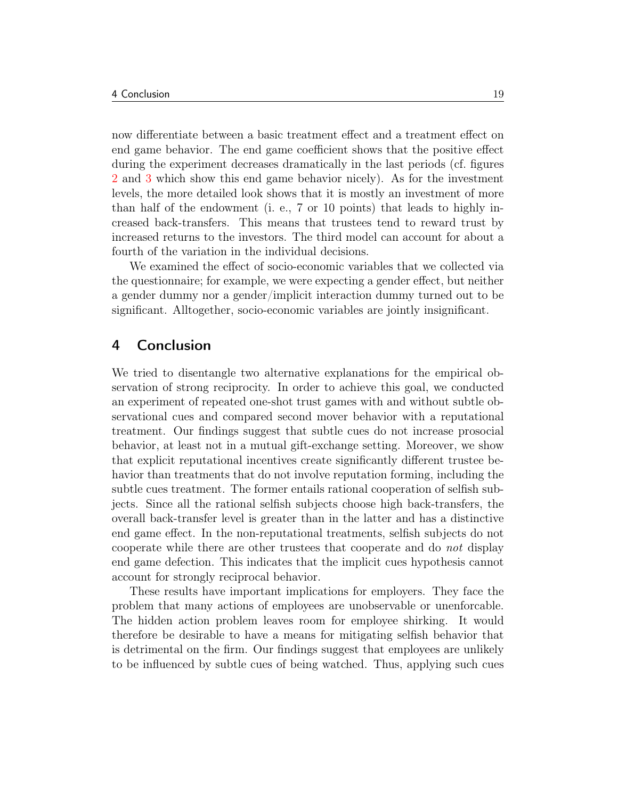now differentiate between a basic treatment effect and a treatment effect on end game behavior. The end game coefficient shows that the positive effect during the experiment decreases dramatically in the last periods (cf. figures [2](#page-11-2) and [3](#page-12-0) which show this end game behavior nicely). As for the investment levels, the more detailed look shows that it is mostly an investment of more than half of the endowment (i. e., 7 or 10 points) that leads to highly increased back-transfers. This means that trustees tend to reward trust by increased returns to the investors. The third model can account for about a fourth of the variation in the individual decisions.

We examined the effect of socio-economic variables that we collected via the questionnaire; for example, we were expecting a gender effect, but neither a gender dummy nor a gender/implicit interaction dummy turned out to be significant. Alltogether, socio-economic variables are jointly insignificant.

#### <span id="page-19-0"></span>4 Conclusion

We tried to disentangle two alternative explanations for the empirical observation of strong reciprocity. In order to achieve this goal, we conducted an experiment of repeated one-shot trust games with and without subtle observational cues and compared second mover behavior with a reputational treatment. Our findings suggest that subtle cues do not increase prosocial behavior, at least not in a mutual gift-exchange setting. Moreover, we show that explicit reputational incentives create significantly different trustee behavior than treatments that do not involve reputation forming, including the subtle cues treatment. The former entails rational cooperation of selfish subjects. Since all the rational selfish subjects choose high back-transfers, the overall back-transfer level is greater than in the latter and has a distinctive end game effect. In the non-reputational treatments, selfish subjects do not cooperate while there are other trustees that cooperate and do not display end game defection. This indicates that the implicit cues hypothesis cannot account for strongly reciprocal behavior.

These results have important implications for employers. They face the problem that many actions of employees are unobservable or unenforcable. The hidden action problem leaves room for employee shirking. It would therefore be desirable to have a means for mitigating selfish behavior that is detrimental on the firm. Our findings suggest that employees are unlikely to be influenced by subtle cues of being watched. Thus, applying such cues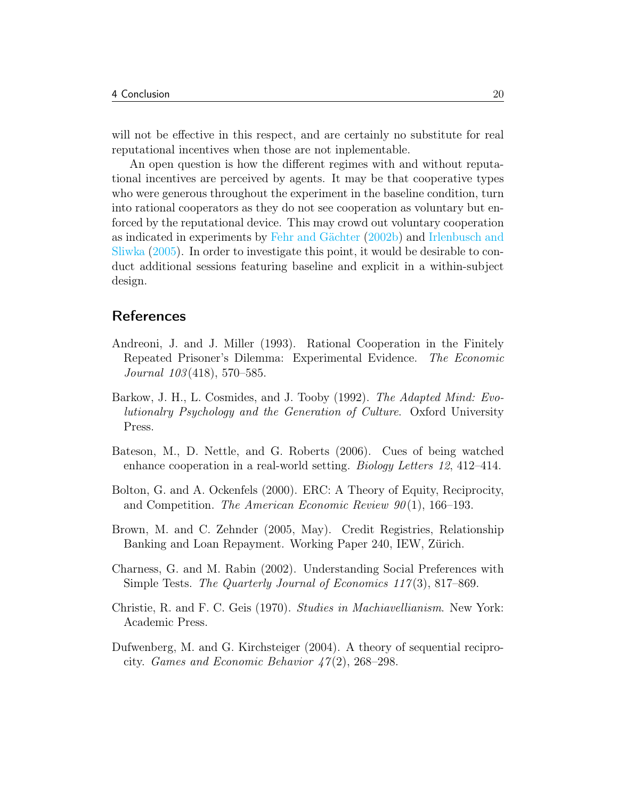will not be effective in this respect, and are certainly no substitute for real reputational incentives when those are not inplementable.

An open question is how the different regimes with and without reputational incentives are perceived by agents. It may be that cooperative types who were generous throughout the experiment in the baseline condition, turn into rational cooperators as they do not see cooperation as voluntary but enforced by the reputational device. This may crowd out voluntary cooperation as indicated in experiments by [Fehr and Gächter](#page-21-12) [\(2002b\)](#page-21-12) and [Irlenbusch and](#page-22-8) [Sliwka](#page-22-8) [\(2005\)](#page-22-8). In order to investigate this point, it would be desirable to conduct additional sessions featuring baseline and explicit in a within-subject design.

### **References**

- <span id="page-20-6"></span>Andreoni, J. and J. Miller (1993). Rational Cooperation in the Finitely Repeated Prisoner's Dilemma: Experimental Evidence. The Economic Journal 103 (418), 570–585.
- <span id="page-20-3"></span>Barkow, J. H., L. Cosmides, and J. Tooby (1992). The Adapted Mind: Evolutionalry Psychology and the Generation of Culture. Oxford University Press.
- <span id="page-20-4"></span>Bateson, M., D. Nettle, and G. Roberts (2006). Cues of being watched enhance cooperation in a real-world setting. Biology Letters 12, 412–414.
- <span id="page-20-1"></span>Bolton, G. and A. Ockenfels (2000). ERC: A Theory of Equity, Reciprocity, and Competition. The American Economic Review  $90(1)$ , 166–193.
- <span id="page-20-5"></span>Brown, M. and C. Zehnder (2005, May). Credit Registries, Relationship Banking and Loan Repayment. Working Paper 240, IEW, Zürich.
- <span id="page-20-2"></span>Charness, G. and M. Rabin (2002). Understanding Social Preferences with Simple Tests. The Quarterly Journal of Economics 117(3), 817–869.
- <span id="page-20-7"></span>Christie, R. and F. C. Geis (1970). Studies in Machiavellianism. New York: Academic Press.
- <span id="page-20-0"></span>Dufwenberg, M. and G. Kirchsteiger (2004). A theory of sequential reciprocity. Games and Economic Behavior  $47(2)$ , 268–298.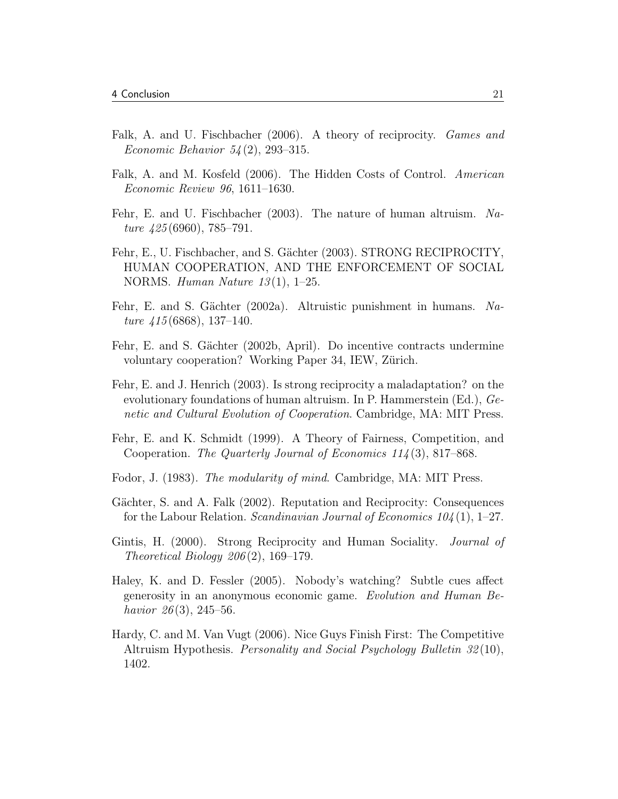- <span id="page-21-2"></span>Falk, A. and U. Fischbacher (2006). A theory of reciprocity. Games and *Economic Behavior*  $54(2)$ , 293-315.
- <span id="page-21-9"></span>Falk, A. and M. Kosfeld (2006). The Hidden Costs of Control. American Economic Review 96, 1611–1630.
- <span id="page-21-0"></span>Fehr, E. and U. Fischbacher (2003). The nature of human altruism. Nature  $425(6960)$ , 785–791.
- <span id="page-21-4"></span>Fehr, E., U. Fischbacher, and S. Gächter (2003). STRONG RECIPROCITY, HUMAN COOPERATION, AND THE ENFORCEMENT OF SOCIAL NORMS. Human Nature  $13(1)$ , 1–25.
- <span id="page-21-1"></span>Fehr, E. and S. Gächter (2002a). Altruistic punishment in humans. Nature  $\mu$ 15 (6868), 137–140.
- <span id="page-21-12"></span>Fehr, E. and S. Gächter (2002b, April). Do incentive contracts undermine voluntary cooperation? Working Paper 34, IEW, Zürich.
- <span id="page-21-7"></span>Fehr, E. and J. Henrich (2003). Is strong reciprocity a maladaptation? on the evolutionary foundations of human altruism. In P. Hammerstein (Ed.), Genetic and Cultural Evolution of Cooperation. Cambridge, MA: MIT Press.
- <span id="page-21-3"></span>Fehr, E. and K. Schmidt (1999). A Theory of Fairness, Competition, and Cooperation. The Quarterly Journal of Economics 114(3), 817–868.
- <span id="page-21-6"></span>Fodor, J. (1983). The modularity of mind. Cambridge, MA: MIT Press.
- <span id="page-21-11"></span>Gächter, S. and A. Falk (2002). Reputation and Reciprocity: Consequences for the Labour Relation. Scandinavian Journal of Economics  $104(1)$ , 1–27.
- <span id="page-21-5"></span>Gintis, H. (2000). Strong Reciprocity and Human Sociality. *Journal of* Theoretical Biology  $206(2)$ , 169–179.
- <span id="page-21-8"></span>Haley, K. and D. Fessler (2005). Nobody's watching? Subtle cues affect generosity in an anonymous economic game. Evolution and Human Behavior  $26(3)$ , 245–56.
- <span id="page-21-10"></span>Hardy, C. and M. Van Vugt (2006). Nice Guys Finish First: The Competitive Altruism Hypothesis. Personality and Social Psychology Bulletin 32 (10), 1402.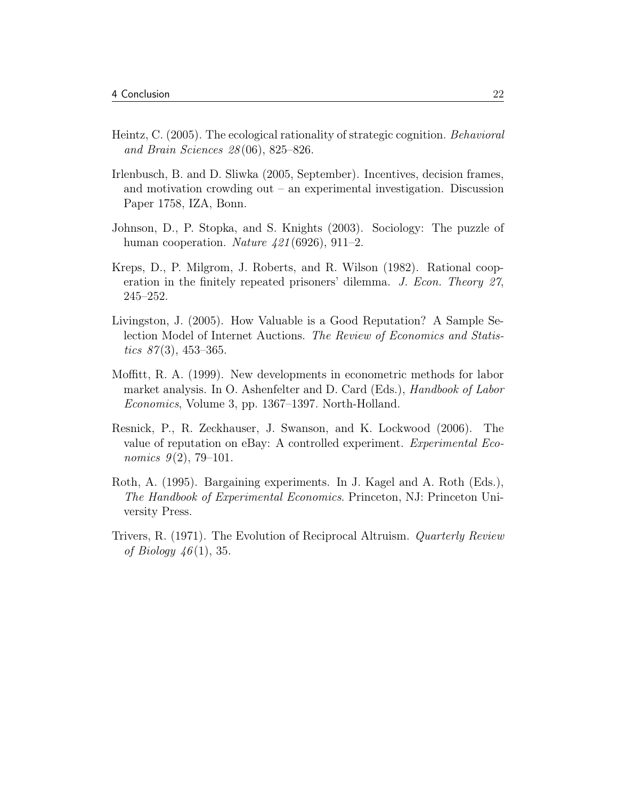- <span id="page-22-2"></span>Heintz, C. (2005). The ecological rationality of strategic cognition. Behavioral and Brain Sciences 28 (06), 825–826.
- <span id="page-22-8"></span>Irlenbusch, B. and D. Sliwka (2005, September). Incentives, decision frames, and motivation crowding out – an experimental investigation. Discussion Paper 1758, IZA, Bonn.
- <span id="page-22-3"></span>Johnson, D., P. Stopka, and S. Knights (2003). Sociology: The puzzle of human cooperation. Nature  $421(6926)$ , 911–2.
- <span id="page-22-6"></span>Kreps, D., P. Milgrom, J. Roberts, and R. Wilson (1982). Rational cooperation in the finitely repeated prisoners' dilemma. J. Econ. Theory 27, 245–252.
- <span id="page-22-4"></span>Livingston, J. (2005). How Valuable is a Good Reputation? A Sample Selection Model of Internet Auctions. The Review of Economics and Statistics  $87(3)$ , 453–365.
- <span id="page-22-7"></span>Moffitt, R. A. (1999). New developments in econometric methods for labor market analysis. In O. Ashenfelter and D. Card (Eds.), Handbook of Labor Economics, Volume 3, pp. 1367–1397. North-Holland.
- <span id="page-22-5"></span>Resnick, P., R. Zeckhauser, J. Swanson, and K. Lockwood (2006). The value of reputation on eBay: A controlled experiment. Experimental Economics  $9(2)$ , 79–101.
- <span id="page-22-0"></span>Roth, A. (1995). Bargaining experiments. In J. Kagel and A. Roth (Eds.), The Handbook of Experimental Economics. Princeton, NJ: Princeton University Press.
- <span id="page-22-1"></span>Trivers, R. (1971). The Evolution of Reciprocal Altruism. Quarterly Review of Biology  $46(1)$ , 35.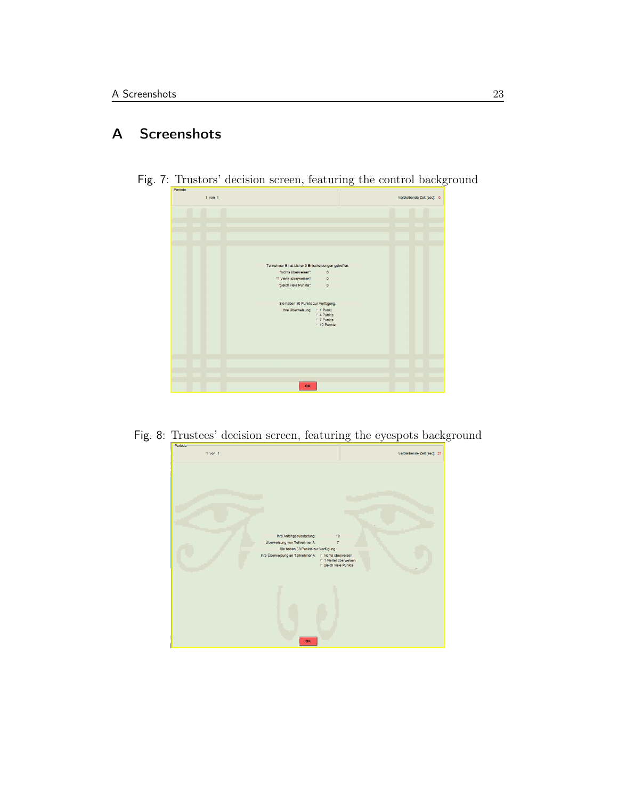## <span id="page-23-0"></span>A Screenshots

<span id="page-23-1"></span>

Fig. 7: Trustors' decision screen, featuring the control background

<span id="page-23-2"></span>

| $1$ von $1$<br>Verbleibende Zeit [sec]: 25<br>Ihre Anfangsausstattung:<br>10<br>Überweisung von Teilnehmer A:<br>$\overline{7}$<br>Sie haben 38 Punkte zur Verfügung.<br>Ihre Überweisung an Teilnehmer A:  c nichts überweisen<br>○ 1 Viertel überweisen<br>gleich viele Punkte<br>OK |         | $\check{ }$ |  |
|----------------------------------------------------------------------------------------------------------------------------------------------------------------------------------------------------------------------------------------------------------------------------------------|---------|-------------|--|
|                                                                                                                                                                                                                                                                                        | Periode |             |  |
|                                                                                                                                                                                                                                                                                        |         |             |  |
|                                                                                                                                                                                                                                                                                        |         |             |  |
|                                                                                                                                                                                                                                                                                        |         |             |  |
|                                                                                                                                                                                                                                                                                        |         |             |  |
|                                                                                                                                                                                                                                                                                        |         |             |  |
|                                                                                                                                                                                                                                                                                        |         |             |  |
|                                                                                                                                                                                                                                                                                        |         |             |  |
|                                                                                                                                                                                                                                                                                        |         |             |  |
|                                                                                                                                                                                                                                                                                        |         |             |  |
|                                                                                                                                                                                                                                                                                        |         |             |  |
|                                                                                                                                                                                                                                                                                        |         |             |  |
|                                                                                                                                                                                                                                                                                        |         |             |  |
|                                                                                                                                                                                                                                                                                        |         |             |  |
|                                                                                                                                                                                                                                                                                        |         |             |  |
|                                                                                                                                                                                                                                                                                        |         |             |  |
|                                                                                                                                                                                                                                                                                        |         |             |  |
|                                                                                                                                                                                                                                                                                        |         |             |  |
|                                                                                                                                                                                                                                                                                        |         |             |  |
|                                                                                                                                                                                                                                                                                        |         |             |  |
|                                                                                                                                                                                                                                                                                        |         |             |  |
|                                                                                                                                                                                                                                                                                        |         |             |  |
|                                                                                                                                                                                                                                                                                        |         |             |  |
|                                                                                                                                                                                                                                                                                        |         |             |  |
|                                                                                                                                                                                                                                                                                        |         |             |  |
|                                                                                                                                                                                                                                                                                        |         |             |  |
|                                                                                                                                                                                                                                                                                        |         |             |  |
|                                                                                                                                                                                                                                                                                        |         |             |  |
|                                                                                                                                                                                                                                                                                        |         |             |  |
|                                                                                                                                                                                                                                                                                        |         |             |  |
|                                                                                                                                                                                                                                                                                        |         |             |  |
|                                                                                                                                                                                                                                                                                        |         |             |  |
|                                                                                                                                                                                                                                                                                        |         |             |  |
|                                                                                                                                                                                                                                                                                        |         |             |  |
|                                                                                                                                                                                                                                                                                        |         |             |  |
|                                                                                                                                                                                                                                                                                        |         |             |  |
|                                                                                                                                                                                                                                                                                        |         |             |  |
|                                                                                                                                                                                                                                                                                        |         |             |  |
|                                                                                                                                                                                                                                                                                        |         |             |  |

Fig. 8: Trustees' decision screen, featuring the eyespots background